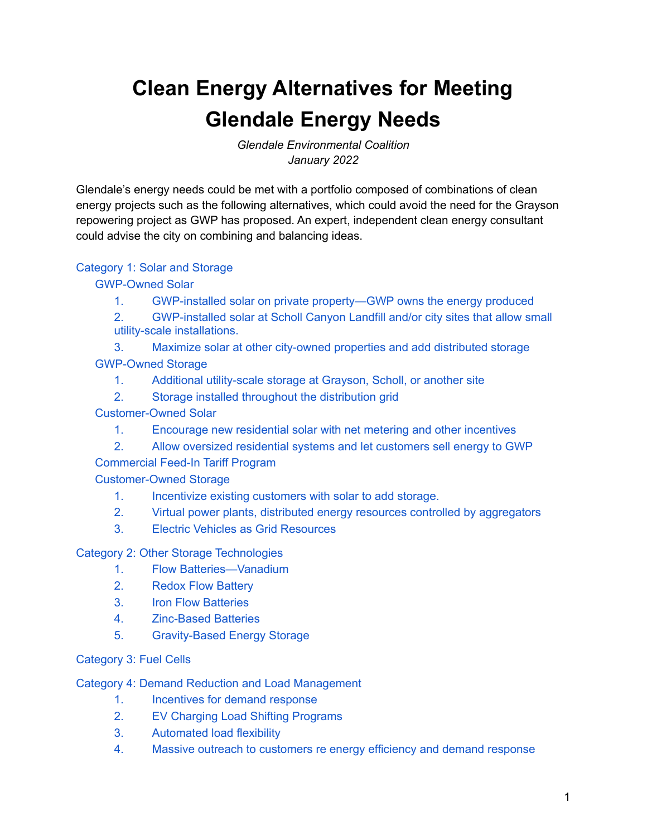# **Clean Energy Alternatives for Meeting Glendale Energy Needs**

*Glendale Environmental Coalition January 2022*

Glendale's energy needs could be met with a portfolio composed of combinations of clean energy projects such as the following alternatives, which could avoid the need for the Grayson repowering project as GWP has proposed. An expert, independent clean energy consultant could advise the city on combining and balancing ideas.

#### [Category](#page-1-0) 1: Solar and Storage

#### [GWP-Owned](#page-1-1) Solar

- 1. GWP-installed solar on private [property—GWP](#page-1-2) owns the energy produced
- 2. [GWP-installed](#page-1-3) solar at Scholl Canyon Landfill and/or city sites that allow small utility-scale [installations.](#page-1-3)
- 3. Maximize solar at other [city-owned](#page-2-0) properties and add distributed storage [GWP-Owned](#page-3-0) Storage
	- 1. Additional [utility-scale](#page-3-1) storage at Grayson, Scholl, or another site
	- 2. Storage installed throughout the [distribution](#page-4-0) grid
- [Customer-Owned](#page-4-1) Solar
	- 1. [Encourage](#page-4-2) new residential solar with net metering and other incentives
	- 2. Allow oversized residential systems and let [customers](#page-4-3) sell energy to GWP

Commercial Feed-In Tariff Program

[Customer-Owned](#page-6-0) Storage

- 1. [Incentivize](#page-6-1) existing customers with solar to add storage.
- 2. Virtual power plants, distributed energy resources controlled by [aggregators](#page-6-2)
- 3. Electric Vehicles as Grid [Resources](#page-7-0)

#### Category 2: Other Storage [Technologies](#page-7-1)

- 1. Flow [Batteries—Vanadium](#page-8-0)
- 2. Redox Flow [Battery](#page-8-1)
- 3. Iron Flow [Batteries](#page-8-2)
- 4. [Zinc-Based](#page-8-3) Batteries
- 5. [Gravity-Based](#page-9-0) Energy Storage

#### [Category](#page-9-1) 3: Fuel Cells

Category 4: Demand Reduction and Load [Management](#page-9-2)

- 1. [Incentives](#page-10-0) for demand response
- 2. EV Charging Load Shifting [Programs](#page-11-0)
- 3. [Automated](#page-12-0) load flexibility
- 4. Massive outreach to [customers](#page-13-0) re energy efficiency and demand response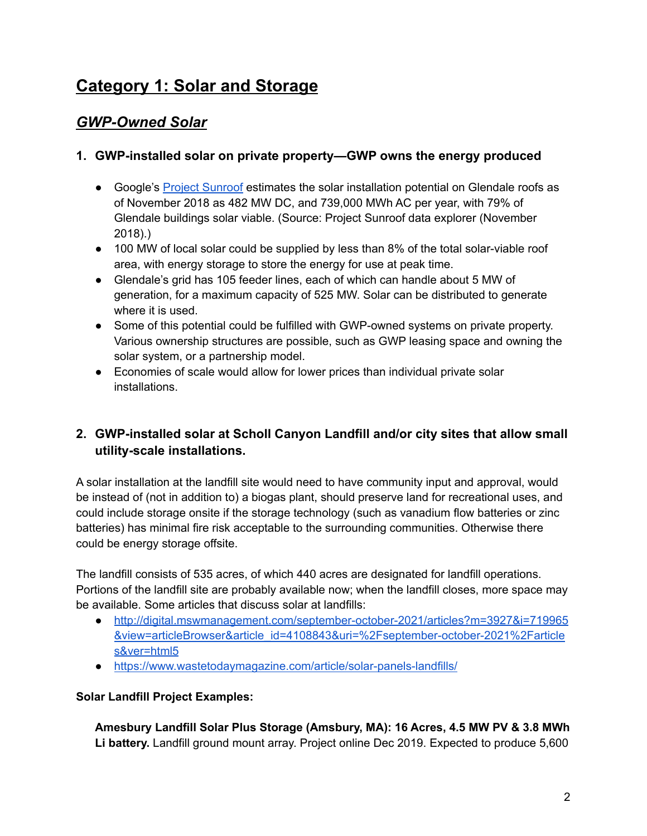# <span id="page-1-0"></span>**Category 1: Solar and Storage**

### <span id="page-1-1"></span>*GWP-Owned Solar*

#### <span id="page-1-2"></span>**1. GWP-installed solar on private property—GWP owns the energy produced**

- Google's Project [Sunroof](https://sunroof.withgoogle.com/data-explorer/place/ChIJqYPwyDLAwoARpibJ_p6hP-U/) estimates the solar installation potential on Glendale roofs as of November 2018 as 482 MW DC, and 739,000 MWh AC per year, with 79% of Glendale buildings solar viable. (Source: Project Sunroof data explorer (November 2018).)
- 100 MW of local solar could be supplied by less than 8% of the total solar-viable roof area, with energy storage to store the energy for use at peak time.
- Glendale's grid has 105 feeder lines, each of which can handle about 5 MW of generation, for a maximum capacity of 525 MW. Solar can be distributed to generate where it is used.
- Some of this potential could be fulfilled with GWP-owned systems on private property. Various ownership structures are possible, such as GWP leasing space and owning the solar system, or a partnership model.
- Economies of scale would allow for lower prices than individual private solar installations.

#### <span id="page-1-3"></span>**2. GWP-installed solar at Scholl Canyon Landfill and/or city sites that allow small utility-scale installations.**

A solar installation at the landfill site would need to have community input and approval, would be instead of (not in addition to) a biogas plant, should preserve land for recreational uses, and could include storage onsite if the storage technology (such as vanadium flow batteries or zinc batteries) has minimal fire risk acceptable to the surrounding communities. Otherwise there could be energy storage offsite.

The landfill consists of 535 acres, of which 440 acres are designated for landfill operations. Portions of the landfill site are probably available now; when the landfill closes, more space may be available. Some articles that discuss solar at landfills:

- [http://digital.mswmanagement.com/september-october-2021/articles?m=3927&i=719965](http://digital.mswmanagement.com/september-october-2021/articles?m=3927&i=719965&view=articleBrowser&article_id=4108843&uri=%2Fseptember-october-2021%2Farticles&ver=html5) [&view=articleBrowser&article\\_id=4108843&uri=%2Fseptember-october-2021%2Farticle](http://digital.mswmanagement.com/september-october-2021/articles?m=3927&i=719965&view=articleBrowser&article_id=4108843&uri=%2Fseptember-october-2021%2Farticles&ver=html5) [s&ver=html5](http://digital.mswmanagement.com/september-october-2021/articles?m=3927&i=719965&view=articleBrowser&article_id=4108843&uri=%2Fseptember-october-2021%2Farticles&ver=html5)
- <https://www.wastetodaymagazine.com/article/solar-panels-landfills/>

#### **Solar Landfill Project Examples:**

**Amesbury Landfill Solar Plus Storage (Amsbury, MA): 16 Acres, 4.5 MW PV & 3.8 MWh Li battery.** Landfill ground mount array. Project online Dec 2019. Expected to produce 5,600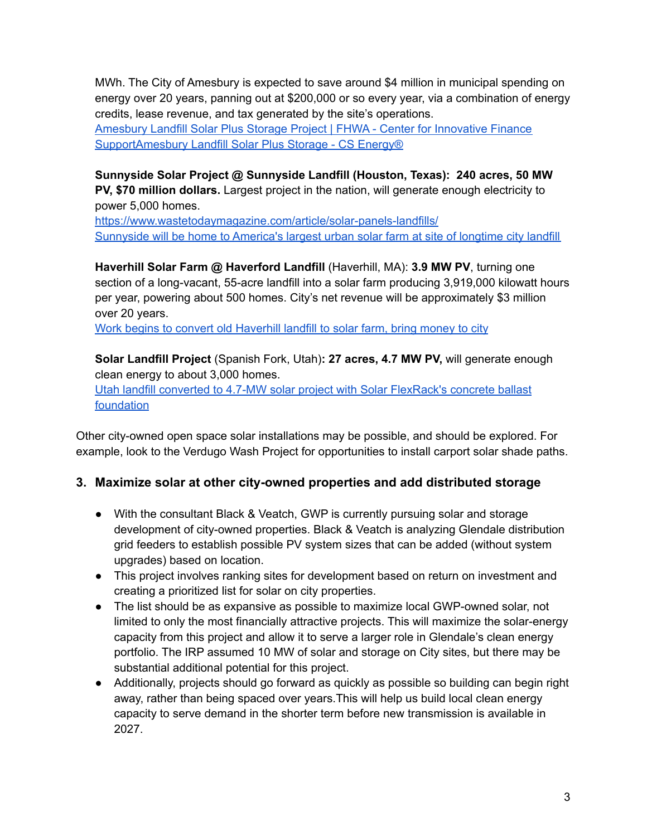MWh. The City of Amesbury is expected to save around \$4 million in municipal spending on energy over 20 years, panning out at \$200,000 or so every year, via a combination of energy credits, lease revenue, and tax generated by the site's operations. Amesbury Landfill Solar Plus Storage Project | FHWA - Center for [Innovative](https://www.fhwa.dot.gov/ipd/project_profiles/ma_amesbury_landfill_solar_plus_storage_project.aspx) Finance [Support](https://www.fhwa.dot.gov/ipd/project_profiles/ma_amesbury_landfill_solar_plus_storage_project.aspx)[Amesbury](https://www.csenergy.com/project/amesbury-landfill-solar-plus-storage/) Landfill Solar Plus Storage - CS Energy®

#### **Sunnyside Solar Project @ Sunnyside Landfill (Houston, Texas): 240 acres, 50 MW PV, \$70 million dollars.** Largest project in the nation, will generate enough electricity to

power 5,000 homes. <https://www.wastetodaymagazine.com/article/solar-panels-landfills/> [Sunnyside](https://www.khou.com/article/tech/science/environment/houston-sunnyside-largest-urban-solar-farm/285-1bf899d1-01e5-4cae-869c-32b5f5dd986b) will be home to America's largest urban solar farm at site of longtime city landfill

**Haverhill Solar Farm @ Haverford Landfill** (Haverhill, MA): **3.9 MW PV**, turning one section of a long-vacant, 55-acre landfill into a solar farm producing 3,919,000 kilowatt hours per year, powering about 500 homes. City's net revenue will be approximately \$3 million over 20 years.

Work begins to convert old [Haverhill](https://www.eagletribune.com/news/haverhill/work-begins-to-convert-old-haverhill-landfill-to-solar-farm-bring-money-to-city/article_de486ae0-58a6-5b3e-aee2-2fb5fecd67aa.html) landfill to solar farm, bring money to city

**Solar Landfill Project** (Spanish Fork, Utah)**: 27 acres, 4.7 MW PV,** will generate enough clean energy to about 3,000 homes.

Utah landfill converted to 4.7-MW solar project with Solar [FlexRack's](https://www.solarpowerworldonline.com/2021/07/utah-landfill-converted-to-solar-project-with-solar-flexracks-concrete-ballast-foundation/) concrete ballast [foundation](https://www.solarpowerworldonline.com/2021/07/utah-landfill-converted-to-solar-project-with-solar-flexracks-concrete-ballast-foundation/)

Other city-owned open space solar installations may be possible, and should be explored. For example, look to the Verdugo Wash Project for opportunities to install carport solar shade paths.

#### <span id="page-2-0"></span>**3. Maximize solar at other city-owned properties and add distributed storage**

- With the consultant Black & Veatch, GWP is currently pursuing solar and storage development of city-owned properties. Black & Veatch is analyzing Glendale distribution grid feeders to establish possible PV system sizes that can be added (without system upgrades) based on location.
- This project involves ranking sites for development based on return on investment and creating a prioritized list for solar on city properties.
- The list should be as expansive as possible to maximize local GWP-owned solar, not limited to only the most financially attractive projects. This will maximize the solar-energy capacity from this project and allow it to serve a larger role in Glendale's clean energy portfolio. The IRP assumed 10 MW of solar and storage on City sites, but there may be substantial additional potential for this project.
- Additionally, projects should go forward as quickly as possible so building can begin right away, rather than being spaced over years.This will help us build local clean energy capacity to serve demand in the shorter term before new transmission is available in 2027.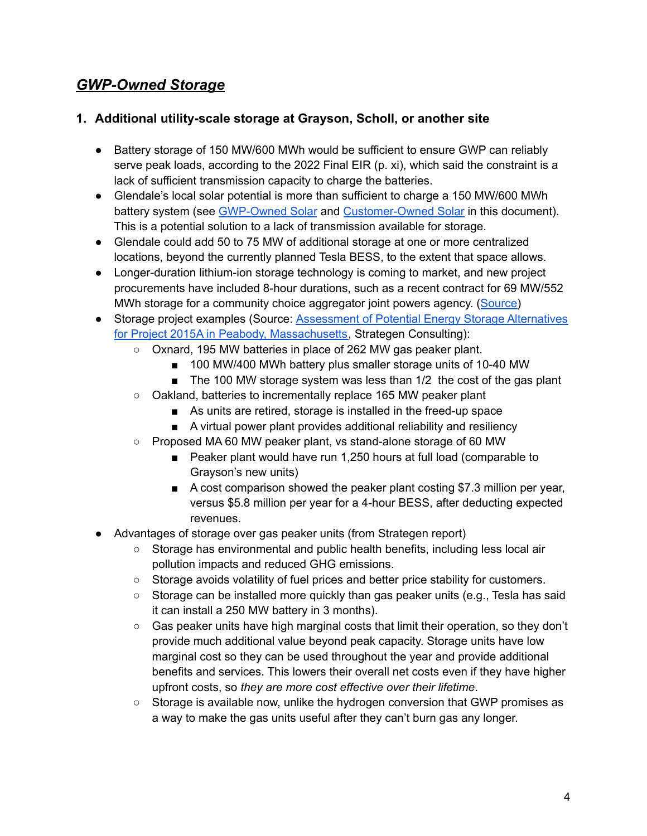### <span id="page-3-0"></span>*GWP-Owned Storage*

#### <span id="page-3-1"></span>**1. Additional utility-scale storage at Grayson, Scholl, or another site**

- Battery storage of 150 MW/600 MWh would be sufficient to ensure GWP can reliably serve peak loads, according to the 2022 Final EIR (p. xi), which said the constraint is a lack of sufficient transmission capacity to charge the batteries.
- Glendale's local solar potential is more than sufficient to charge a 150 MW/600 MWh battery system (see [GWP-Owned](#page-1-1) Solar and [Customer-Owned](#page-4-1) Solar in this document). This is a potential solution to a lack of transmission available for storage.
- Glendale could add 50 to 75 MW of additional storage at one or more centralized locations, beyond the currently planned Tesla BESS, to the extent that space allows.
- Longer-duration lithium-ion storage technology is coming to market, and new project procurements have included 8-hour durations, such as a recent contract for 69 MW/552 MWh storage for a community choice aggregator joint powers agency. ([Source\)](https://www.spglobal.com/marketintelligence/en/news-insights/latest-news-headlines/lithium-ion-takes-early-lead-in-calif-race-for-longer-lasting-energy-storage-68468842)
- Storage project examples (Source: **[Assessment](https://www.cleanegroup.org/wp-content/uploads/Energy-Storage-Alternatives-Peabody-MA.pdf) of Potential Energy Storage Alternatives** for Project 2015A in Peabody, [Massachusetts,](https://www.cleanegroup.org/wp-content/uploads/Energy-Storage-Alternatives-Peabody-MA.pdf) Strategen Consulting):
	- Oxnard, 195 MW batteries in place of 262 MW gas peaker plant.
		- 100 MW/400 MWh battery plus smaller storage units of 10-40 MW
		- The 100 MW storage system was less than 1/2 the cost of the gas plant
	- Oakland, batteries to incrementally replace 165 MW peaker plant
		- As units are retired, storage is installed in the freed-up space
		- A virtual power plant provides additional reliability and resiliency
	- Proposed MA 60 MW peaker plant, vs stand-alone storage of 60 MW
		- Peaker plant would have run 1,250 hours at full load (comparable to Grayson's new units)
		- A cost comparison showed the peaker plant costing \$7.3 million per year, versus \$5.8 million per year for a 4-hour BESS, after deducting expected revenues.
- Advantages of storage over gas peaker units (from Strategen report)
	- Storage has environmental and public health benefits, including less local air pollution impacts and reduced GHG emissions.
	- Storage avoids volatility of fuel prices and better price stability for customers.
	- $\circ$  Storage can be installed more quickly than gas peaker units (e.g., Tesla has said it can install a 250 MW battery in 3 months).
	- Gas peaker units have high marginal costs that limit their operation, so they don't provide much additional value beyond peak capacity. Storage units have low marginal cost so they can be used throughout the year and provide additional benefits and services. This lowers their overall net costs even if they have higher upfront costs, so *they are more cost effective over their lifetime*.
	- Storage is available now, unlike the hydrogen conversion that GWP promises as a way to make the gas units useful after they can't burn gas any longer.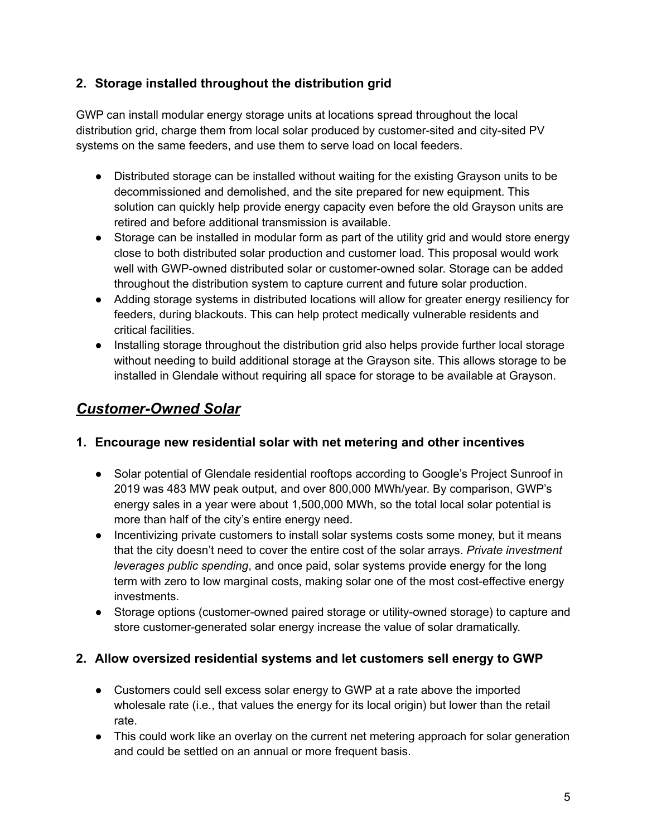#### <span id="page-4-0"></span>**2. Storage installed throughout the distribution grid**

GWP can install modular energy storage units at locations spread throughout the local distribution grid, charge them from local solar produced by customer-sited and city-sited PV systems on the same feeders, and use them to serve load on local feeders.

- Distributed storage can be installed without waiting for the existing Grayson units to be decommissioned and demolished, and the site prepared for new equipment. This solution can quickly help provide energy capacity even before the old Grayson units are retired and before additional transmission is available.
- Storage can be installed in modular form as part of the utility grid and would store energy close to both distributed solar production and customer load. This proposal would work well with GWP-owned distributed solar or customer-owned solar. Storage can be added throughout the distribution system to capture current and future solar production.
- Adding storage systems in distributed locations will allow for greater energy resiliency for feeders, during blackouts. This can help protect medically vulnerable residents and critical facilities.
- Installing storage throughout the distribution grid also helps provide further local storage without needing to build additional storage at the Grayson site. This allows storage to be installed in Glendale without requiring all space for storage to be available at Grayson.

### <span id="page-4-1"></span>*Customer-Owned Solar*

#### <span id="page-4-2"></span>**1. Encourage new residential solar with net metering and other incentives**

- Solar potential of Glendale residential rooftops according to Google's Project Sunroof in 2019 was 483 MW peak output, and over 800,000 MWh/year. By comparison, GWP's energy sales in a year were about 1,500,000 MWh, so the total local solar potential is more than half of the city's entire energy need.
- Incentivizing private customers to install solar systems costs some money, but it means that the city doesn't need to cover the entire cost of the solar arrays. *Private investment leverages public spending*, and once paid, solar systems provide energy for the long term with zero to low marginal costs, making solar one of the most cost-effective energy investments.
- Storage options (customer-owned paired storage or utility-owned storage) to capture and store customer-generated solar energy increase the value of solar dramatically.

#### <span id="page-4-3"></span>**2. Allow oversized residential systems and let customers sell energy to GWP**

- Customers could sell excess solar energy to GWP at a rate above the imported wholesale rate (i.e., that values the energy for its local origin) but lower than the retail rate.
- This could work like an overlay on the current net metering approach for solar generation and could be settled on an annual or more frequent basis.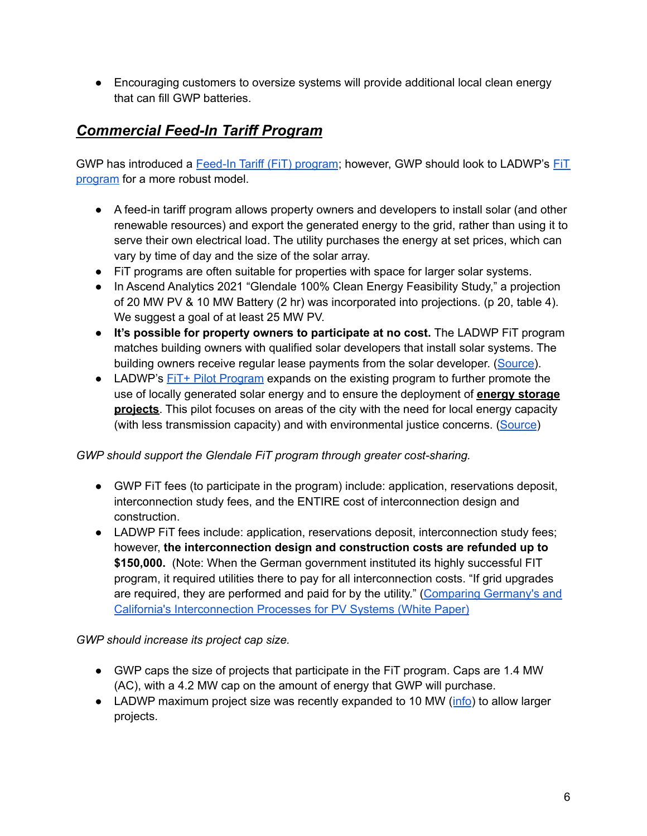● Encouraging customers to oversize systems will provide additional local clean energy that can fill GWP batteries.

### *Commercial Feed-In Tariff Program*

GWP has introduced a Feed-In Tariff (FiT) [program](https://www.glendaleca.gov/government/departments/glendale-water-and-power/business-customers/glendale-water-power-feed-in-tariff-program-fit); however, GWP should look to LADWP's [FiT](https://www.ladwp.com/ladwp/faces/ladwp/commercial/c-gogreen/c-gg-commsolarprograms/c-gg-csp-fit) [program](https://www.ladwp.com/ladwp/faces/ladwp/commercial/c-gogreen/c-gg-commsolarprograms/c-gg-csp-fit) for a more robust model.

- A feed-in tariff program allows property owners and developers to install solar (and other renewable resources) and export the generated energy to the grid, rather than using it to serve their own electrical load. The utility purchases the energy at set prices, which can vary by time of day and the size of the solar array.
- FiT programs are often suitable for properties with space for larger solar systems.
- In Ascend Analytics 2021 "Glendale 100% Clean Energy Feasibility Study," a projection of 20 MW PV & 10 MW Battery (2 hr) was incorporated into projections. (p 20, table 4). We suggest a goal of at least 25 MW PV.
- **It's possible for property owners to participate at no cost.** The LADWP FiT program matches building owners with qualified solar developers that install solar systems. The building owners receive regular lease payments from the solar developer. ([Source\)](https://labusinesscouncil.org/wp-content/uploads/2021/03/LABC-FiT-One-Pager.pdf).
- LADWP's FIT+ Pilot [Program](https://www.ladwp.com/ladwp/faces/ladwp/commercial/c-gogreen/c-gg-commsolarprograms/c-gg-csp-fitplus?_afrWindowId=null&_afrLoop=1813971578091859&_afrWindowMode=0&_adf.ctrl-state=w4f5mx9fb_17#%40%3F_afrWindowId%3Dnull%26_afrLoop%3D1813971578091859%26_afrWindowMode%3D0%26_adf.ctrl-state%3Dyg1mrw8nf_17) expands on the existing program to further promote the use of locally generated solar energy and to ensure the deployment of **energy storage projects**. This pilot focuses on areas of the city with the need for local energy capacity (with less transmission capacity) and with environmental justice concerns. [\(Source](https://www.ladwp.com/ladwp/faces/ladwp/commercial/c-gogreen/c-gg-commsolarprograms/c-gg-csp-fitplus?_afrLoop=1792558652660762&_afrWindowMode=0&_afrWindowId=null#%40%3F_afrWindowId%3Dnull%26_afrLoop%3D1792558652660762%26_afrWindowMode%3D0%26_adf.ctrl-state%3Dw4f5mx9fb_17))

#### *GWP should support the Glendale FiT program through greater cost-sharing.*

- GWP FiT fees (to participate in the program) include: application, reservations deposit, interconnection study fees, and the ENTIRE cost of interconnection design and construction.
- LADWP FIT fees include: application, reservations deposit, interconnection study fees; however, **the interconnection design and construction costs are refunded up to \$150,000.** (Note: When the German government instituted its highly successful FIT program, it required utilities there to pay for all interconnection costs. "If grid upgrades are required, they are performed and paid for by the utility." [\(Comparing](https://www.nrel.gov/docs/fy11osti/51814.pdf) Germany's and California's [Interconnection](https://www.nrel.gov/docs/fy11osti/51814.pdf) Processes for PV Systems (White Paper)

*GWP should increase its project cap size.*

- GWP caps the size of projects that participate in the FiT program. Caps are 1.4 MW (AC), with a 4.2 MW cap on the amount of energy that GWP will purchase.
- LADWP maximum project size was recently expanded to 10 MW ([info](https://www.ladwpnews.com/ladwp-board-of-commissioners-votes-to-expand-feed-in-tariff-program-by-300-mw/)) to allow larger projects.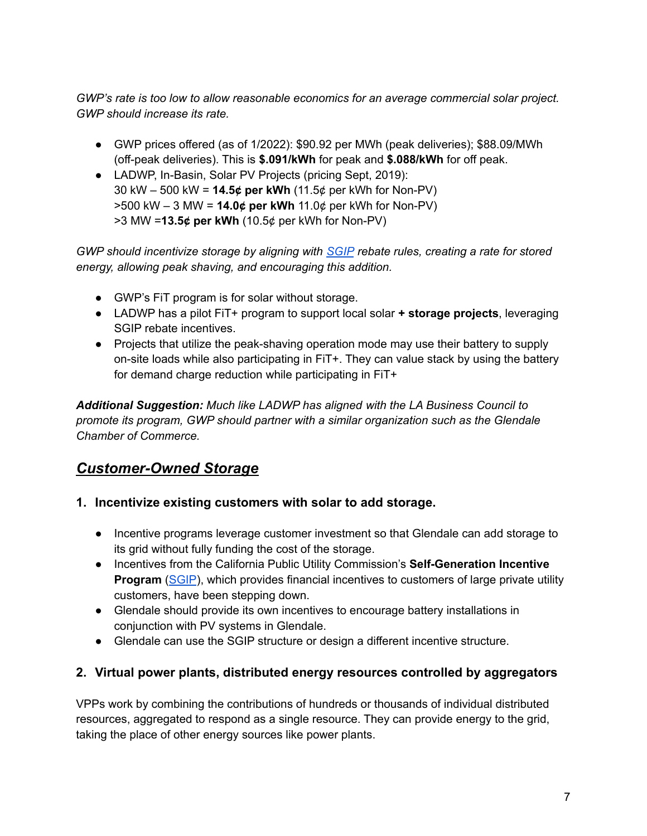*GWP's rate is too low to allow reasonable economics for an average commercial solar project. GWP should increase its rate.*

- GWP prices offered (as of 1/2022): \$90.92 per MWh (peak deliveries); \$88.09/MWh (off-peak deliveries). This is **\$.091/kWh** for peak and **\$.088/kWh** for off peak.
- LADWP, In-Basin, Solar PV Projects (pricing Sept, 2019): 30 kW – 500 kW = **14.5¢ per kWh** (11.5¢ per kWh for Non-PV) >500 kW – 3 MW = **14.0¢ per kWh** 11.0¢ per kWh for Non-PV) >3 MW =**13.5¢ per kWh** (10.5¢ per kWh for Non-PV)

*GWP should incentivize storage by aligning with [SGIP](https://www.cpuc.ca.gov/sgipinfo/) rebate rules, creating a rate for stored energy, allowing peak shaving, and encouraging this addition.*

- GWP's FiT program is for solar without storage.
- LADWP has a pilot FiT+ program to support local solar **+ storage projects**, leveraging SGIP rebate incentives.
- Projects that utilize the peak-shaving operation mode may use their battery to supply on-site loads while also participating in FiT+. They can value stack by using the battery for demand charge reduction while participating in FiT+

*Additional Suggestion: Much like LADWP has aligned with the LA Business Council to promote its program, GWP should partner with a similar organization such as the Glendale Chamber of Commerce.*

## <span id="page-6-0"></span>*Customer-Owned Storage*

#### <span id="page-6-1"></span>**1. Incentivize existing customers with solar to add storage.**

- Incentive programs leverage customer investment so that Glendale can add storage to its grid without fully funding the cost of the storage.
- Incentives from the California Public Utility Commission's **Self-Generation Incentive Program** ([SGIP](https://www.cpuc.ca.gov/sgipinfo/)), which provides financial incentives to customers of large private utility customers, have been stepping down.
- Glendale should provide its own incentives to encourage battery installations in conjunction with PV systems in Glendale.
- Glendale can use the SGIP structure or design a different incentive structure.

#### <span id="page-6-2"></span>**2. Virtual power plants, distributed energy resources controlled by aggregators**

VPPs work by combining the contributions of hundreds or thousands of individual distributed resources, aggregated to respond as a single resource. They can provide energy to the grid, taking the place of other energy sources like power plants.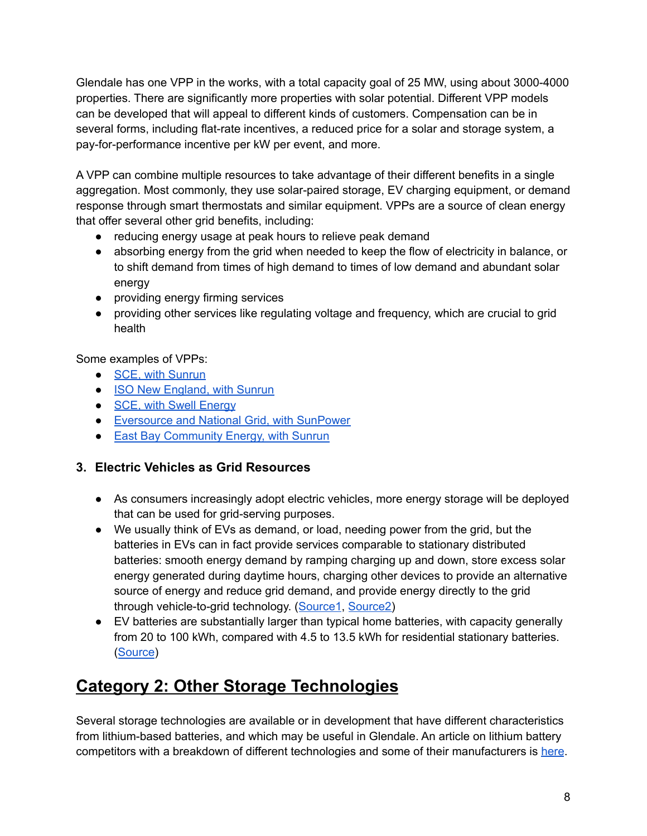Glendale has one VPP in the works, with a total capacity goal of 25 MW, using about 3000-4000 properties. There are significantly more properties with solar potential. Different VPP models can be developed that will appeal to different kinds of customers. Compensation can be in several forms, including flat-rate incentives, a reduced price for a solar and storage system, a pay-for-performance incentive per kW per event, and more.

A VPP can combine multiple resources to take advantage of their different benefits in a single aggregation. Most commonly, they use solar-paired storage, EV charging equipment, or demand response through smart thermostats and similar equipment. VPPs are a source of clean energy that offer several other grid benefits, including:

- reducing energy usage at peak hours to relieve peak demand
- absorbing energy from the grid when needed to keep the flow of electricity in balance, or to shift demand from times of high demand to times of low demand and abundant solar energy
- providing energy firming services
- providing other services like regulating voltage and frequency, which are crucial to grid health

Some examples of VPPs:

- SCE, with [Sunrun](https://energized.edison.com/stories/can-your-home-battery-help-power-the-grid-in-times-of-need)
- **ISO New [England,](https://www.greentechmedia.com/articles/read/sunrun-wins-new-england-capacity-auction-with-home-solar-and-batteries#gs.qei2k6) with Sunrun**
- **SCE, with Swell [Energy](https://swellenergy.com/805)**
- [Eversource](https://solarbuildermag.com/energy-storage/sunpower-debuts-virtual-power-plant-deal-for-customers-in-eversource-national-grid-territory/) and National Grid, with SunPower
- East Bay [Community](https://ebce.org/resilient-home/) Energy, with Sunrun

#### <span id="page-7-0"></span>**3. Electric Vehicles as Grid Resources**

- As consumers increasingly adopt electric vehicles, more energy storage will be deployed that can be used for grid-serving purposes.
- We usually think of EVs as demand, or load, needing power from the grid, but the batteries in EVs can in fact provide services comparable to stationary distributed batteries: smooth energy demand by ramping charging up and down, store excess solar energy generated during daytime hours, charging other devices to provide an alternative source of energy and reduce grid demand, and provide energy directly to the grid through vehicle-to-grid technology. ([Source1](https://www.vox.com/recode/22872237/biden-electric-vehicle-batteries-clean-energy), [Source2\)](https://www.evconnect.com/blog/what-is-vehicle-to-grid-for-electric-vehicles)
- EV batteries are substantially larger than typical home batteries, with capacity generally from 20 to 100 kWh, compared with 4.5 to 13.5 kWh for residential stationary batteries. ([Source](https://www.dcpowerco.com.au/solar-battery-electric-vehicle-to-power-home/))

# <span id="page-7-1"></span>**Category 2: Other Storage Technologies**

Several storage technologies are available or in development that have different characteristics from lithium-based batteries, and which may be useful in Glendale. An article on lithium battery competitors with a breakdown of different technologies and some of their manufacturers is [here](https://www.volts.wtf/p/battery-week-competitors-to-lithium).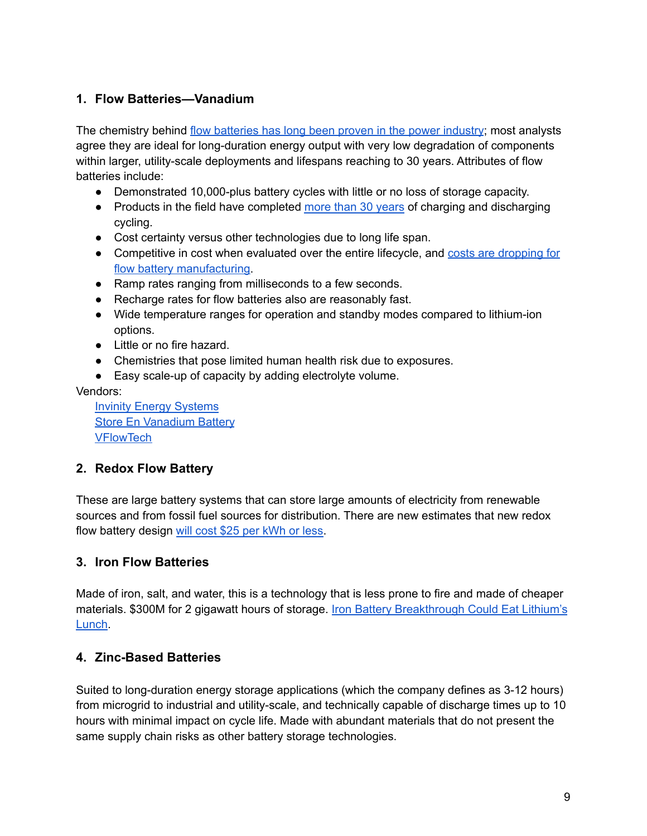#### <span id="page-8-0"></span>**1. Flow Batteries—Vanadium**

The chemistry behind flow [batteries](https://www.powermag.com/grid-scale-iron-chromium-redox-flow-battery-connected/) has long been proven in the power industry; most analysts agree they are ideal for long-duration energy output with very low degradation of components within larger, utility-scale deployments and lifespans reaching to 30 years. Attributes of flow batteries include:

- Demonstrated 10,000-plus battery cycles with little or no loss of storage capacity.
- Products in the field have completed more than 30 [years](https://www.forbes.com/sites/rrapier/2020/10/24/why-vanadium-flow-batteries-may-be-the-future-of-utility-scale-energy-storage/?sh=723f9d2d2305) of charging and discharging cycling.
- Cost certainty versus other technologies due to long life span.
- Competitive in cost when evaluated over the entire lifecycle, and costs are [dropping](https://www.powermag.com/battery-storage-goes-mainstream-2/) for flow battery [manufacturing.](https://www.powermag.com/battery-storage-goes-mainstream-2/)
- Ramp rates ranging from milliseconds to a few seconds.
- Recharge rates for flow batteries also are reasonably fast.
- Wide temperature ranges for operation and standby modes compared to lithium-ion options.
- Little or no fire hazard.
- Chemistries that pose limited human health risk due to exposures.
- Easy scale-up of capacity by adding electrolyte volume.

Vendors:

Invinity Energy [Systems](https://invinity.com/) Store En [Vanadium](https://www.storen.tech/products) Battery [VFlowTech](https://vflowtech.com/)

#### <span id="page-8-1"></span>**2. Redox Flow Battery**

These are large battery systems that can store large amounts of electricity from renewable sources and from fossil fuel sources for distribution. There are new estimates that new redox flow battery design will cost \$25 per [kWh](https://cleantechnica.com/2021/01/25/researchers-claim-redox-flow-battery-breakthrough-will-cost-25-per-kwh-or-less/) or less.

#### <span id="page-8-2"></span>**3. Iron Flow Batteries**

Made of iron, salt, and water, this is a technology that is less prone to fire and made of cheaper materials. \$300M for 2 gigawatt hours of storage. Iron Battery [Breakthrough](https://www.bloomberg.com/news/articles/2021-09-30/iron-battery-breakthrough-could-eat-lithium-s-lunch) Could Eat Lithium's [Lunch.](https://www.bloomberg.com/news/articles/2021-09-30/iron-battery-breakthrough-could-eat-lithium-s-lunch)

#### <span id="page-8-3"></span>**4. Zinc-Based Batteries**

Suited to long-duration energy storage applications (which the company defines as 3-12 hours) from microgrid to industrial and utility-scale, and technically capable of discharge times up to 10 hours with minimal impact on cycle life. Made with abundant materials that do not present the same supply chain risks as other battery storage technologies.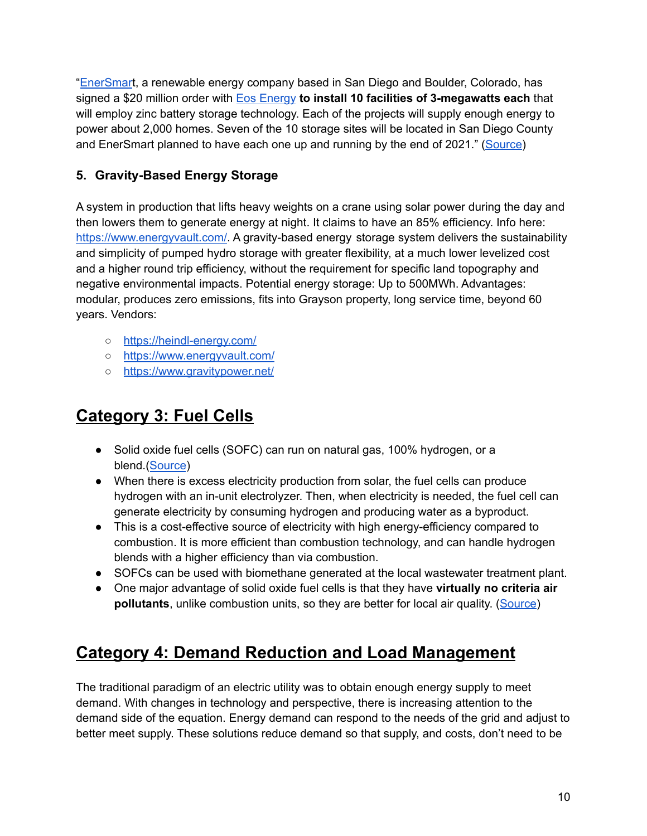"[EnerSmar](https://www.enersmartstorage.com/)t, a renewable energy company based in San Diego and Boulder, Colorado, has signed a \$20 million order with Eos [Energy](https://eosenergystorage.com/) **to install 10 facilities of 3-megawatts each** that will employ zinc battery storage technology. Each of the projects will supply enough energy to power about 2,000 homes. Seven of the 10 storage sites will be located in San Diego County and EnerSmart planned to have each one up and running by the end of 2021." [\(Source](https://www.sandiegouniontribune.com/business/story/2021-01-08/zinc-based-energy-storage-project-coming-to-san-diego-area))

#### <span id="page-9-0"></span>**5. Gravity-Based Energy Storage**

A system in production that lifts heavy weights on a crane using solar power during the day and then lowers them to generate energy at night. It claims to have an 85% efficiency. Info here: [https://www.energyvault.com/.](https://www.energyvault.com/) A gravity-based energy storage system delivers the sustainability and simplicity of pumped hydro storage with greater flexibility, at a much lower levelized cost and a higher round trip efficiency, without the requirement for specific land topography and negative environmental impacts. Potential energy storage: Up to 500MWh. Advantages: modular, produces zero emissions, fits into Grayson property, long service time, beyond 60 years. Vendors:

- <https://heindl-energy.com/>
- <https://www.energyvault.com/>
- <https://www.gravitypower.net/>

# <span id="page-9-1"></span>**Category 3: Fuel Cells**

- Solid oxide fuel cells (SOFC) can run on natural gas, 100% hydrogen, or a blend.([Source](https://www.bloomenergy.com/news/bloom-energy-announces-hydrogen-powered-energy-servers-to-make-always-on-renewable-electricity-a-reality/))
- When there is excess electricity production from solar, the fuel cells can produce hydrogen with an in-unit electrolyzer. Then, when electricity is needed, the fuel cell can generate electricity by consuming hydrogen and producing water as a byproduct.
- This is a cost-effective source of electricity with high energy-efficiency compared to combustion. It is more efficient than combustion technology, and can handle hydrogen blends with a higher efficiency than via combustion.
- SOFCs can be used with biomethane generated at the local wastewater treatment plant.
- One major advantage of solid oxide fuel cells is that they have **virtually no criteria air pollutants**, unlike combustion units, so they are better for local air quality. [\(Source\)](https://www.osti.gov/servlets/purl/832845)

# <span id="page-9-2"></span>**Category 4: Demand Reduction and Load Management**

The traditional paradigm of an electric utility was to obtain enough energy supply to meet demand. With changes in technology and perspective, there is increasing attention to the demand side of the equation. Energy demand can respond to the needs of the grid and adjust to better meet supply. These solutions reduce demand so that supply, and costs, don't need to be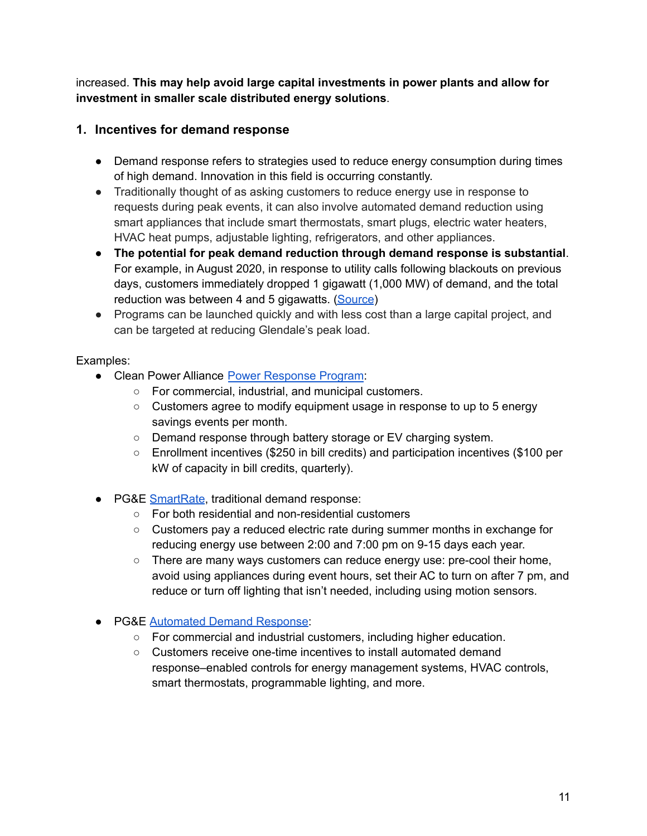increased. **This may help avoid large capital investments in power plants and allow for investment in smaller scale distributed energy solutions**.

#### <span id="page-10-0"></span>**1. Incentives for demand response**

- Demand response refers to strategies used to reduce energy consumption during times of high demand. Innovation in this field is occurring constantly.
- Traditionally thought of as asking customers to reduce energy use in response to requests during peak events, it can also involve automated demand reduction using smart appliances that include smart thermostats, smart plugs, electric water heaters, HVAC heat pumps, adjustable lighting, refrigerators, and other appliances.
- **The potential for peak demand reduction through demand response is substantial**. For example, in August 2020, in response to utility calls following blackouts on previous days, customers immediately dropped 1 gigawatt (1,000 MW) of demand, and the total reduction was between 4 and 5 gigawatts. [\(Source](https://www.greentechmedia.com/articles/read/californias-big-decision-for-2021-grid-reliability-go-big-on-supply-or-expand-demand))
- Programs can be launched quickly and with less cost than a large capital project, and can be targeted at reducing Glendale's peak load.

#### Examples:

- Clean Power Alliance Power [Response](https://cleanpoweralliance.org/cpa-power-response-program-commercial-customers/) Program:
	- For commercial, industrial, and municipal customers.
	- $\circ$  Customers agree to modify equipment usage in response to up to 5 energy savings events per month.
	- Demand response through battery storage or EV charging system.
	- Enrollment incentives (\$250 in bill credits) and participation incentives (\$100 per kW of capacity in bill credits, quarterly).
- PG&E [SmartRate](https://www.pge.com/en_US/residential/rate-plans/rate-plan-options/smart-rate-add-on/smart-rate-add-on.page), traditional demand response:
	- For both residential and non-residential customers
	- Customers pay a reduced electric rate during summer months in exchange for reducing energy use between 2:00 and 7:00 pm on 9-15 days each year.
	- $\circ$  There are many ways customers can reduce energy use: pre-cool their home, avoid using appliances during event hours, set their AC to turn on after 7 pm, and reduce or turn off lighting that isn't needed, including using motion sensors.
- PG&E [Automated](https://www.pge.com/en_US/large-business/save-energy-and-money/energy-management-programs/demand-response-programs/automated-demand-response-incentives/automated-demand-response-incentives.page) Demand Response:
	- For commercial and industrial customers, including higher education.
	- Customers receive one-time incentives to install automated demand response–enabled controls for energy management systems, HVAC controls, smart thermostats, programmable lighting, and more.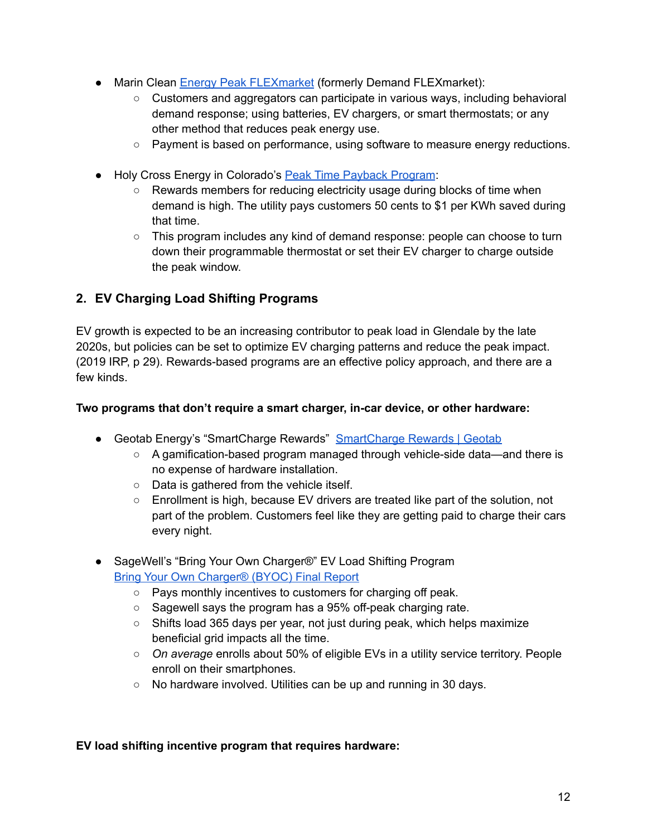- Marin Clean Energy Peak [FLEXmarket](https://www.mcecleanenergy.org/press-releases/mce-launches-new-grid-responsive-demand-flexmarket/) (formerly Demand FLEXmarket):
	- Customers and aggregators can participate in various ways, including behavioral demand response; using batteries, EV chargers, or smart thermostats; or any other method that reduces peak energy use.
	- Payment is based on performance, using software to measure energy reductions.
- Holy Cross Energy in Colorado's Peak Time [Payback](https://www.holycross.com/peak-time-payback/) Program:
	- Rewards members for reducing electricity usage during blocks of time when demand is high. The utility pays customers 50 cents to \$1 per KWh saved during that time.
	- This program includes any kind of demand response: people can choose to turn down their programmable thermostat or set their EV charger to charge outside the peak window.

#### <span id="page-11-0"></span>**2. EV Charging Load Shifting Programs**

EV growth is expected to be an increasing contributor to peak load in Glendale by the late 2020s, but policies can be set to optimize EV charging patterns and reduce the peak impact. (2019 IRP, p 29). Rewards-based programs are an effective policy approach, and there are a few kinds.

#### **Two programs that don't require a smart charger, in-car device, or other hardware:**

- Geotab Energy's "[SmartCharge](https://www.geotab.com/smartchargerewards/) Rewards" SmartCharge Rewards | Geotab
	- A gamification-based program managed through vehicle-side data—and there is no expense of hardware installation.
	- Data is gathered from the vehicle itself.
	- Enrollment is high, because EV drivers are treated like part of the solution, not part of the problem. Customers feel like they are getting paid to charge their cars every night.
- SageWell's "Bring Your Own Charger®" EV Load Shifting Program Bring Your Own [Charger®](https://www.mass.gov/doc/sagewell-bring-your-own-device-peak-demand-grant-program-report/download) (BYOC) Final Report
	- Pays monthly incentives to customers for charging off peak.
	- Sagewell says the program has a 95% off-peak charging rate.
	- $\circ$  Shifts load 365 days per year, not just during peak, which helps maximize beneficial grid impacts all the time.
	- *On average* enrolls about 50% of eligible EVs in a utility service territory. People enroll on their smartphones.
	- No hardware involved. Utilities can be up and running in 30 days.

#### **EV load shifting incentive program that requires hardware:**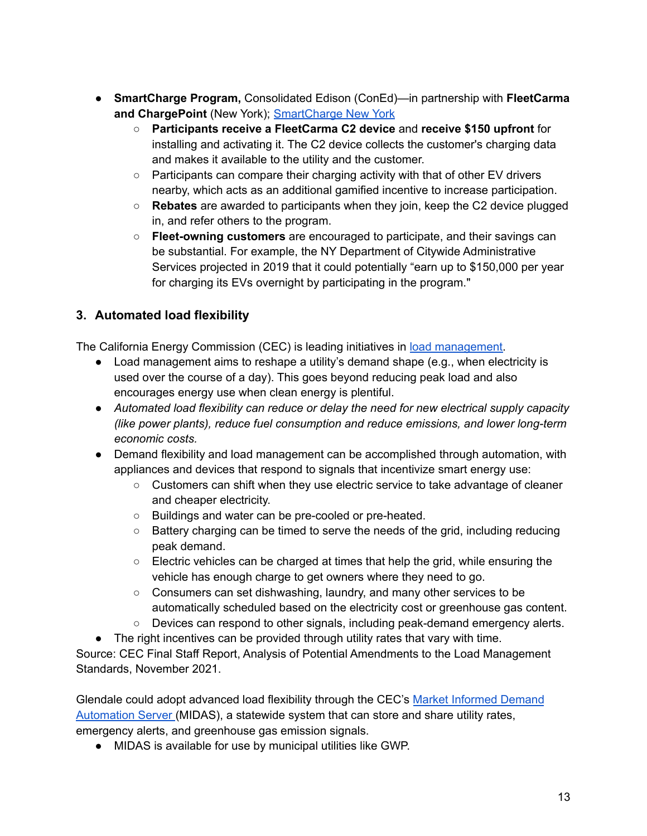- **SmartCharge Program,** Consolidated Edison (ConEd)—in partnership with **FleetCarma and ChargePoint** (New York); [SmartCharge](https://www.smartchargerewards.com/smartchargenewyork/) New York
	- **Participants receive a FleetCarma C2 device** and **receive \$150 upfront** for installing and activating it. The C2 device collects the customer's charging data and makes it available to the utility and the customer.
	- $\circ$  Participants can compare their charging activity with that of other EV drivers nearby, which acts as an additional gamified incentive to increase participation.
	- **Rebates** are awarded to participants when they join, keep the C2 device plugged in, and refer others to the program.
	- **Fleet-owning customers** are encouraged to participate, and their savings can be substantial. For example, the NY Department of Citywide Administrative Services projected in 2019 that it could potentially "earn up to \$150,000 per year for charging its EVs overnight by participating in the program."

#### <span id="page-12-0"></span>**3. Automated load flexibility**

The California Energy Commission (CEC) is leading initiatives in load [management.](https://www.energy.ca.gov/proceedings/energy-commission-proceedings/load-management-rulemaking)

- Load management aims to reshape a utility's demand shape (e.g., when electricity is used over the course of a day). This goes beyond reducing peak load and also encourages energy use when clean energy is plentiful.
- *● Automated load flexibility can reduce or delay the need for new electrical supply capacity (like power plants), reduce fuel consumption and reduce emissions, and lower long-term economic costs.*
- Demand flexibility and load management can be accomplished through automation, with appliances and devices that respond to signals that incentivize smart energy use:
	- Customers can shift when they use electric service to take advantage of cleaner and cheaper electricity.
	- Buildings and water can be pre-cooled or pre-heated.
	- Battery charging can be timed to serve the needs of the grid, including reducing peak demand.
	- Electric vehicles can be charged at times that help the grid, while ensuring the vehicle has enough charge to get owners where they need to go.
	- Consumers can set dishwashing, laundry, and many other services to be automatically scheduled based on the electricity cost or greenhouse gas content.
	- Devices can respond to other signals, including peak-demand emergency alerts.
- The right incentives can be provided through utility rates that vary with time.

Source: CEC Final Staff Report, Analysis of Potential Amendments to the Load Management Standards, November 2021.

Glendale could adopt advanced load flexibility through the CEC's Market [Informed](https://www.energy.ca.gov/proceedings/energy-commission-proceedings/load-management-rulemaking/market-informed-demand) Demand [Automation](https://www.energy.ca.gov/proceedings/energy-commission-proceedings/load-management-rulemaking/market-informed-demand) Server (MIDAS), a statewide system that can store and share utility rates, emergency alerts, and greenhouse gas emission signals.

● MIDAS is available for use by municipal utilities like GWP.